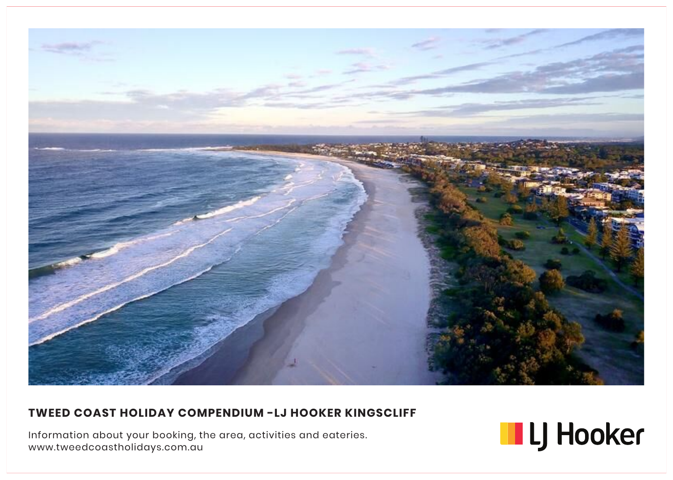

#### **TWEED COAST HOLIDAY COMPENDIUM -LJ HOOKER KINGSCLIFF**

Information about your booking, the area, activities and eateries. www.tweedcoastholidays.com.au

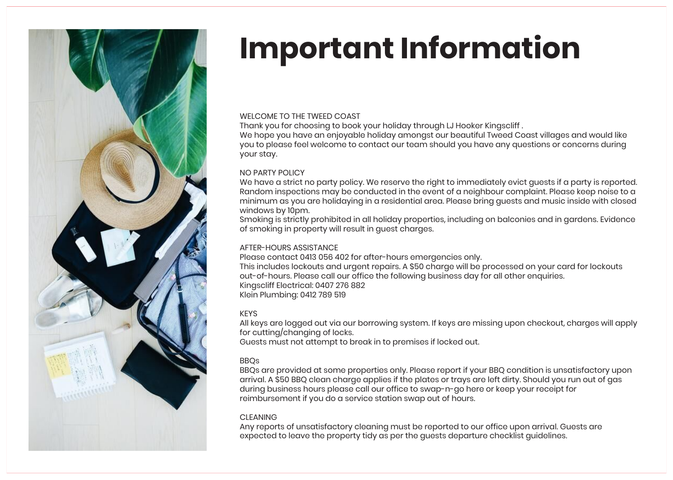

# **Important Information**

#### WELCOME TO THE TWEED COAST

Thank you for choosing to book your holiday through LJ Hooker Kingscliff .

We hope you have an enjoyable holiday amongst our beautiful Tweed Coast villages and would like you to please feel welcome to contact our team should you have any questions or concerns during your stay.

#### NO PARTY POLICY

We have a strict no party policy. We reserve the right to immediately evict guests if a party is reported. Random inspections may be conducted in the event of a neighbour complaint. Please keep noise to a minimum as you are holidaying in a residential area. Please bring guests and music inside with closed windows by 10pm.

Smoking is strictly prohibited in all holiday properties, including on balconies and in gardens. Evidence of smoking in property will result in guest charges.

#### AFTER-HOURS ASSISTANCE

Please contact 0413 056 402 for after-hours emergencies only. This includes lockouts and urgent repairs. A \$50 charge will be processed on your card for lockouts out-of-hours. Please call our office the following business day for all other enquiries. Kingscliff Electrical: 0407 276 882 Klein Plumbing: 0412 789 519

#### KEYS

All keys are logged out via our borrowing system. If keys are missing upon checkout, charges will apply for cutting/changing of locks. Guests must not attempt to break in to premises if locked out.

#### BBQs

BBQs are provided at some properties only. Please report if your BBQ condition is unsatisfactory upon arrival. A \$50 BBQ clean charge applies if the plates or trays are left dirty. Should you run out of gas during business hours please call our office to swap-n-go here or keep your receipt for reimbursement if you do a service station swap out of hours.

#### CLEANING

Any reports of unsatisfactory cleaning must be reported to our office upon arrival. Guests are expected to leave the property tidy as per the guests departure checklist guidelines.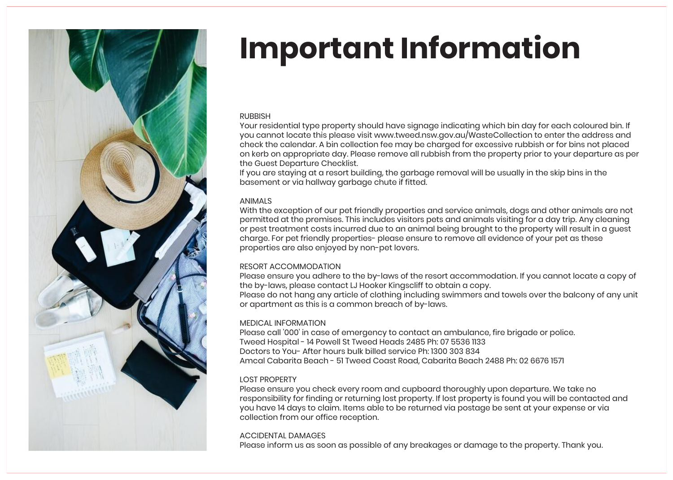

# **Important Information**

#### **RUBBISH**

Your residential type property should have signage indicating which bin day for each coloured bin. If you cannot locate this please visit www.tweed.nsw.gov.au/WasteCollection to enter the address and check the calendar. A bin collection fee may be charged for excessive rubbish or for bins not placed on kerb on appropriate day. Please remove all rubbish from the property prior to your departure as per the Guest Departure Checklist.

If you are staying at a resort building, the garbage removal will be usually in the skip bins in the basement or via hallway garbage chute if fitted.

#### ANIMALS

With the exception of our pet friendly properties and service animals, dogs and other animals are not permitted at the premises. This includes visitors pets and animals visiting for a day trip. Any cleaning or pest treatment costs incurred due to an animal being brought to the property will result in a guest charge. For pet friendly properties- please ensure to remove all evidence of your pet as these properties are also enjoyed by non-pet lovers.

#### RESORT ACCOMMODATION

Please ensure you adhere to the by-laws of the resort accommodation. If you cannot locate a copy of the by-laws, please contact LJ Hooker Kingscliff to obtain a copy.

Please do not hang any article of clothing including swimmers and towels over the balcony of any unit or apartment as this is a common breach of by-laws.

#### MEDICAL INFORMATION

Please call '000' in case of emergency to contact an ambulance, fire brigade or police. Tweed Hospital - 14 Powell St Tweed Heads 2485 Ph: 07 5536 1133 Doctors to You- After hours bulk billed service Ph: 1300 303 834 Amcal Cabarita Beach - 51 Tweed Coast Road, Cabarita Beach 2488 Ph: 02 6676 1571

#### LOST PROPERTY

Please ensure you check every room and cupboard thoroughly upon departure. We take no responsibility for finding or returning lost property. If lost property is found you will be contacted and you have 14 days to claim. Items able to be returned via postage be sent at your expense or via collection from our office reception.

#### ACCIDENTAL DAMAGES

Please inform us as soon as possible of any breakages or damage to the property. Thank you.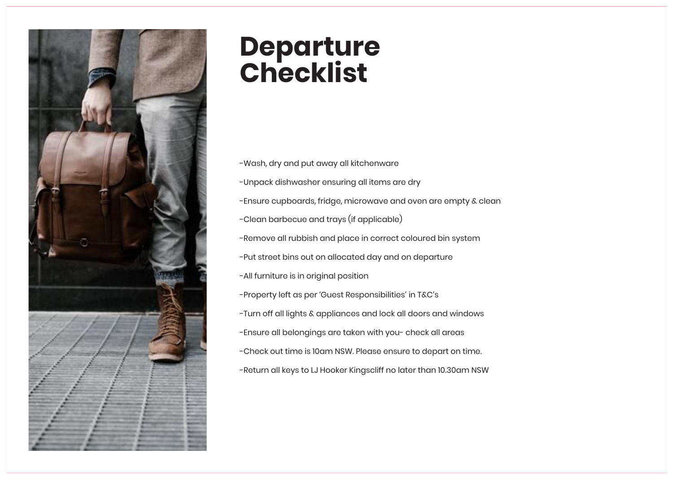

## **Departure Checklist**

-Wash, dry and put away all kitchenware -Unpack dishwasher ensuring all items are dry -Ensure cupboards, fridge, microwave and oven are empty & clean -Clean barbecue and trays (if applicable) -Remove all rubbish and place in correct coloured bin system -Put street bins out on allocated day and on departure -All furniture is in original position -Property left as per 'Guest Responsibilities' in T&C's -Turn off all lights & appliances and lock all doors and windows -Ensure all belongings are taken with you- check all areas -Check out time is 10am NSW. Please ensure to depart on time. -Return all keys to LJ Hooker Kingscliff no later than 10.30am NSW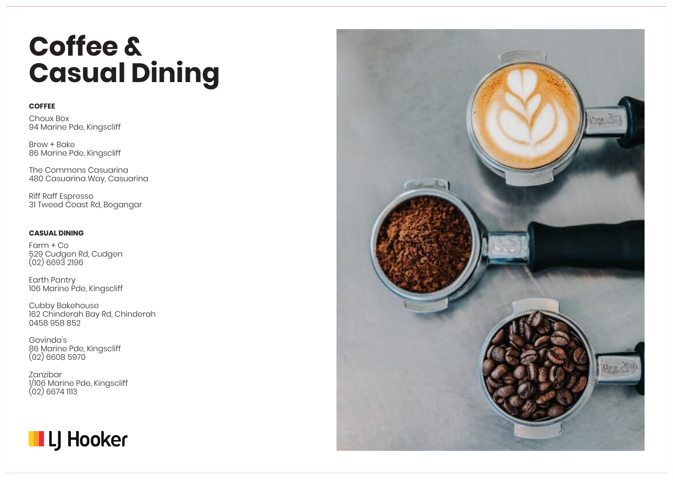## **Coffee & Casual Dining**

#### **COFFEE**

Choux Box 94 Marine Pde, Kingscliff

Brew + Bake 86 Marine Pde, Kingscliff

The Commons Casuarina 480 Casuarina Way, Casuarina

Riff Raff Espresso 31 Tweed Coast Rd, Bogangar

#### **CASUAL DINING**

Farm + Co 529 Cudgen Rd, Cudgen (02) 6693 2196

Earth Pantry 106 Marine Pde, Kingscliff

Cubby Bakehouse 162 Chinderah Bay Rd, Chinderah 0458 958 852

Govinda's 86 Marine Pde, Kingscliff (02) 6608 5970

Zanzibar 1/106 Marine Pde, Kingscliff  $(02)$  6674 1113



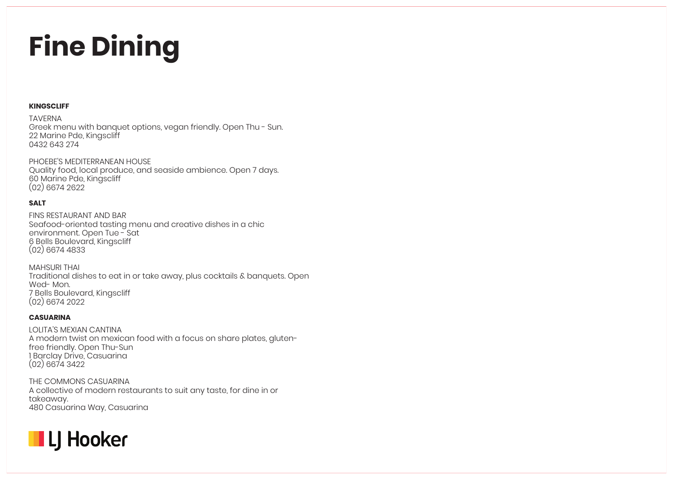# **Fine Dining**

#### **KINGSCLIFF**

TAVERNA

Greek menu with banquet options, vegan friendly. Open Thu - Sun. 22 Marine Pde, Kingscliff 0432 643 274

PHOEBE'S MEDITERRANEAN HOUSE Quality food, local produce, and seaside ambience. Open 7 days. 60 Marine Pde, Kingscliff (02) 6674 2622

#### **SALT**

FINS RESTAURANT AND BAR Seafood-oriented tasting menu and creative dishes in a chic environment. Open Tue - Sat 6 Bells Boulevard, Kingscliff (02) 6674 4833

MAHSURI THAI Traditional dishes to eat in or take away, plus cocktails & banquets. Open Wed- Mon. 7 Bells Boulevard, Kingscliff (02) 6674 2022

#### **CASUARINA**

LOLITA'S MEXIAN CANTINA A modern twist on mexican food with a focus on share plates, glutenfree friendly. Open Thu-Sun 1 Barclay Drive, Casuarina (02) 6674 3422

THE COMMONS CASUARINA A collective of modern restaurants to suit any taste, for dine in or takeaway. 480 Casuarina Way, Casuarina

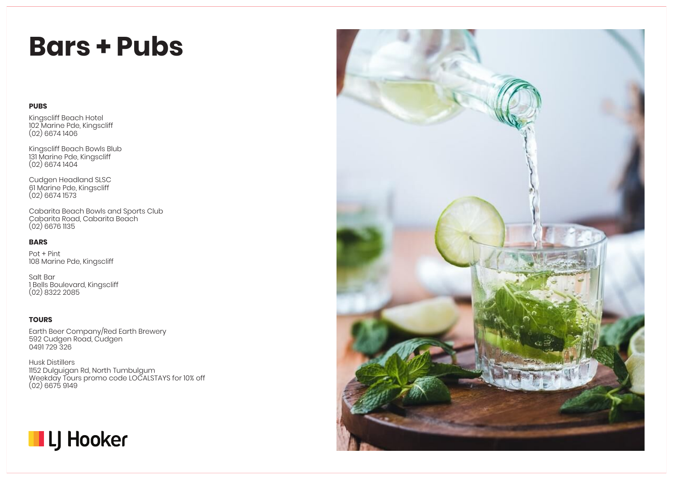### **Bars + Pubs**

#### **PUBS**

Kingscliff Beach Hotel 102 Marine Pde, Kingscliff (02) 6674 1406

Kingscliff Beach Bowls Blub 131 Marine Pde, Kingscliff (02) 6674 1404

Cudgen Headland SLSC 61 Marine Pde, Kingscliff (02) 6674 1573

Cabarita Beach Bowls and Sports Club Cabarita Road, Cabarita Beach (02) 6676 1135

#### **BARS**

Pot + Pint 108 Marine Pde, Kingscliff

Salt Bar 1 Bells Boulevard, Kingscliff (02) 8322 2085

#### **TOURS**

Earth Beer Company/Red Earth Brewery 592 Cudgen Road, Cudgen 0491 729 326

Husk Distillers 1152 Dulguigan Rd, North Tumbulgum Weekday Tours promo code LOCALSTAYS for 10% off (02) 6675 9149



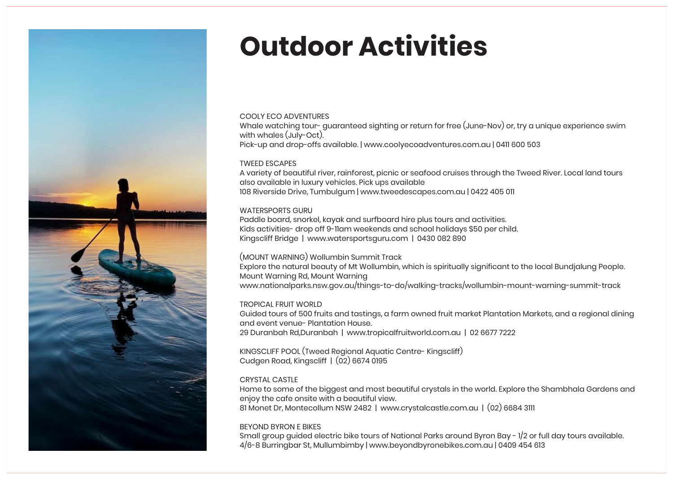

## **Outdoor Activities**

#### COOLY ECO ADVENTURES

Whale watching tour- guaranteed sighting or return for free (June-Nov) or, try a unique experience swim with whales (July-Oct). Pick-up and drop-offs available. | www.coolyecoadventures.com.au | 0411 600 503

#### TWEED ESCAPES

A variety of beautiful river, rainforest, picnic or seafood cruises through the Tweed River. Local land tours also available in luxury vehicles. Pick ups available 108 Riverside Drive, Tumbulgum | www.tweedescapes.com.au | 0422 405 011

#### WATERSPORTS GURU

Paddle board, snorkel, kayak and surfboard hire plus tours and activities. Kids activities- drop off 9-11am weekends and school holidays \$50 per child. Kingscliff Bridge | www.watersportsguru.com | 0430 082 890

#### (MOUNT WARNING) Wollumbin Summit Track

Explore the natural beauty of Mt Wollumbin, which is spiritually significant to the local Bundjalung People. Mount Warning Rd, Mount Warning

www.nationalparks.nsw.gov.au/things-to-do/walking-tracks/wollumbin-mount-warning-summit-track

#### TROPICAL FRUIT WORLD

Guided tours of 500 fruits and tastings, a farm owned fruit market Plantation Markets, and a regional dining and event venue- Plantation House. 29 Duranbah Rd,Duranbah | www.tropicalfruitworld.com.au | 02 6677 7222

KINGSCLIFF POOL (Tweed Regional Aquatic Centre- Kingscliff) Cudgen Road, Kingscliff | (02) 6674 0195

#### CRYSTAL CASTLE

Home to some of the biggest and most beautiful crystals in the world. Explore the Shambhala Gardens and enjoy the cafe onsite with a beautiful view. 81 Monet Dr, Montecollum NSW 2482 | www.crystalcastle.com.au | (02) 6684 3111

BEYOND BYRON E BIKES

Small group guided electric bike tours of National Parks around Byron Bay - 1/2 or full day tours available. 4/6-8 Burringbar St, Mullumbimby | www.beyondbyronebikes.com.au | 0409 454 613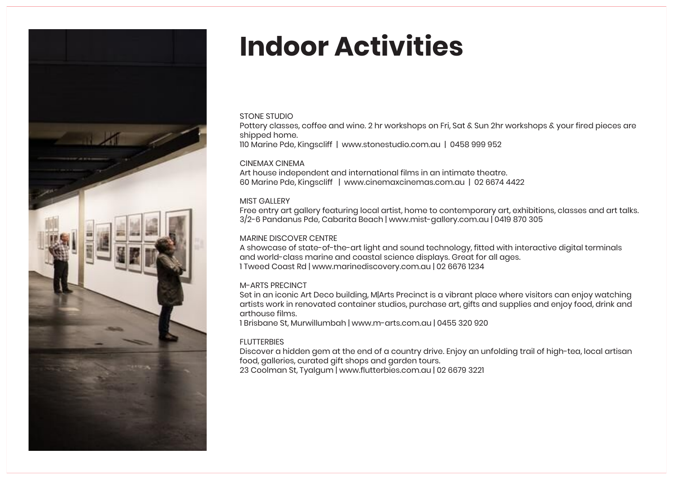

## **Indoor Activities**

#### STONE STUDIO

Pottery classes, coffee and wine. 2 hr workshops on Fri, Sat & Sun 2hr workshops & your fired pieces are shipped home.

110 Marine Pde, Kingscliff | www.stonestudio.com.au | 0458 999 952

#### CINEMAX CINEMA

Art house independent and international films in an intimate theatre. 60 Marine Pde, Kingscliff | www.cinemaxcinemas.com.au | 02 6674 4422

#### MIST GALLERY

Free entry art gallery featuring local artist, home to contemporary art, exhibitions, classes and art talks. 3/2-6 Pandanus Pde, Cabarita Beach | www.mist-gallery.com.au | 0419 870 305

#### MARINE DISCOVER CENTRE

A showcase of state-of-the-art light and sound technology, fitted with interactive digital terminals and world-class marine and coastal science displays. Great for all ages. 1 Tweed Coast Rd | www.marinediscovery.com.au | 02 6676 1234

#### M-ARTS PRECINCT

Set in an iconic Art Deco building, M|Arts Precinct is a vibrant place where visitors can enjoy watching artists work in renovated container studios, purchase art, gifts and supplies and enjoy food, drink and arthouse films.

1 Brisbane St, Murwillumbah | www.m-arts.com.au | 0455 320 920

#### **FLUTTERBIES**

Discover a hidden gem at the end of a country drive. Enjoy an unfolding trail of high-tea, local artisan food, galleries, curated gift shops and garden tours. 23 Coolman St, Tyalgum | www.flutterbies.com.au | 02 6679 3221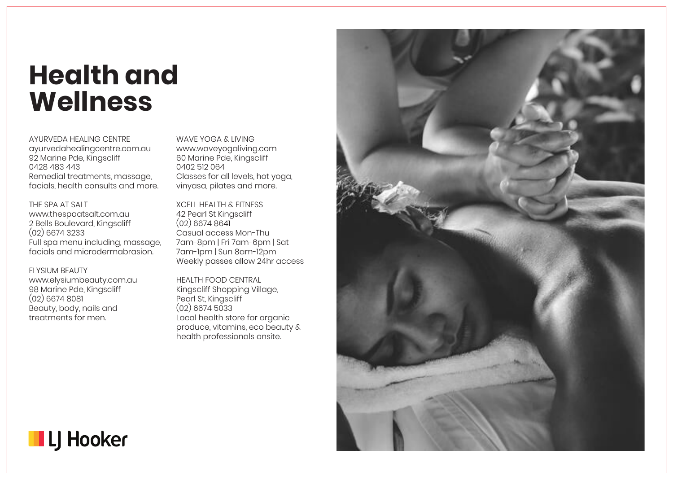### **Health and Wellness**

AYURVEDA HEALING CENTRE ayurvedahealingcentre.com.au 92 Marine Pde, Kingscliff 0428 483 443 Remedial treatments, massage, facials, health consults and more.

THE SPA AT SALT www.thespaatsalt.com.au 2 Bells Boulevard, Kingscliff (02) 6674 3233 Full spa menu including, massage, facials and microdermabrasion.

ELYSIUM BEAUTY www.elysiumbeauty.com.au 98 Marine Pde, Kingscliff (02) 6674 8081 Beauty, body, nails and treatments for men.

WAVE YOGA & LIVING www.waveyogaliving.com 60 Marine Pde, Kingscliff 0402 512 064 Classes for all levels, hot yoga, vinyasa, pilates and more.

XCELL HEALTH & FITNESS 42 Pearl St Kingscliff (02) 6674 8641 Casual access Mon-Thu 7am-8pm | Fri 7am-6pm | Sat 7am-1pm | Sun 8am-12pm Weekly passes allow 24hr access

HEALTH FOOD CENTRAL Kingscliff Shopping Village, Pearl St, Kingscliff (02) 6674 5033 Local health store for organic produce, vitamins, eco beauty & health professionals onsite.



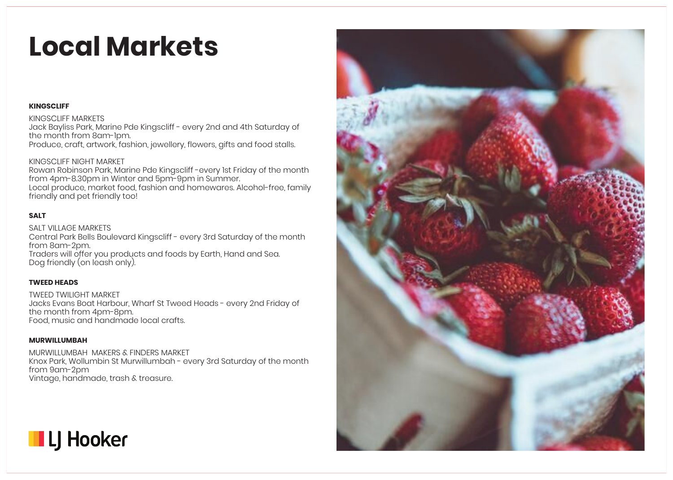## **Local Markets**

#### **KINGSCLIFF**

#### KINGSCLIFF MARKETS

Jack Bayliss Park, Marine Pde Kingscliff - every 2nd and 4th Saturday of the month from 8am-1pm. Produce, craft, artwork, fashion, jewellery, flowers, aifts and food stalls.

#### KINGSCLIFF NIGHT MARKET

Rowan Robinson Park, Marine Pde Kingscliff -every 1st Friday of the month from 4pm-8.30pm in Winter and 5pm-9pm in Summer. Local produce, market food, fashion and homewares. Alcohol-free, family friendly and pet friendly too!

#### **SALT**

SALT VILLAGE MARKETS Central Park Bells Boulevard Kingscliff - every 3rd Saturday of the month from 8am-2pm. Traders will offer you products and foods by Earth, Hand and Sea. Dog friendly (on leash only).

#### **TWEED HEADS**

TWEED TWILIGHT MARKET Jacks Evans Boat Harbour, Wharf St Tweed Heads - every 2nd Friday of the month from 4pm-8pm. Food, music and handmade local crafts.

#### **MURWILLUMBAH**

MURWILLUMBAH MAKERS & FINDERS MARKET Knox Park, Wollumbin St Murwillumbah - every 3rd Saturday of the month from 9am-2pm Vintage, handmade, trash & treasure.



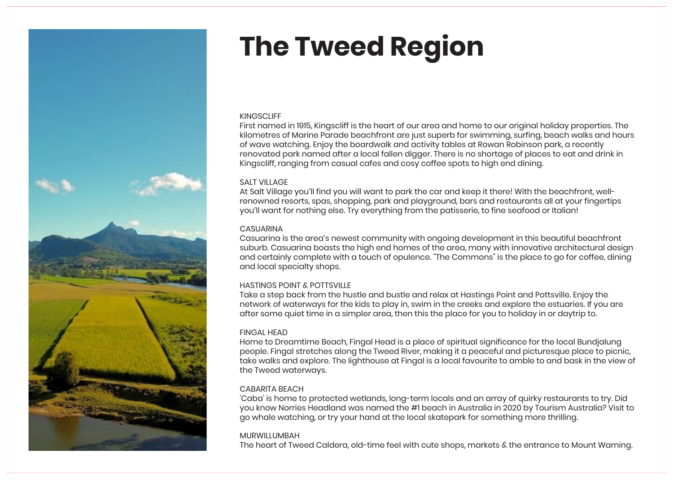

## **The Tweed Region**

#### **KINGSCLIFF**

First named in 1915, Kingscliff is the heart of our area and home to our original holiday properties. The kilometres of Marine Parade beachfront are just superb for swimming, surfing, beach walks and hours of wave watching. Enjoy the boardwalk and activity tables at Rowan Robinson park, a recently renovated park named after a local fallen digger. There is no shortage of places to eat and drink in Kingscliff, ranging from casual cafes and cosy coffee spots to high end dining.

#### SALT VILLAGE

At Salt Village you'll find you will want to park the car and keep it there! With the beachfront, wellrenowned resorts, spas, shopping, park and playground, bars and restaurants all at your fingertips you'll want for nothing else. Try everything from the patisserie, to fine seafood or Italian!

#### **CASUARINA**

Casuarina is the area's newest community with ongoing development in this beautiful beachfront suburb. Casuarina boasts the high end homes of the area, many with innovative architectural design and certainly complete with a touch of opulence. "The Commons" is the place to go for coffee, dining and local specialty shops.

#### HASTINGS POINT & POTTSVILLE

Take a step back from the hustle and bustle and relax at Hastings Point and Pottsville. Enjoy the network of waterways for the kids to play in, swim in the creeks and explore the estuaries. If you are after some quiet time in a simpler area, then this the place for you to holiday in or daytrip to.

#### FINGAL HEAD

Home to Dreamtime Beach, Fingal Head is a place of spiritual significance for the local Bundjalung people. Fingal stretches along the Tweed River, making it a peaceful and picturesque place to picnic, take walks and explore. The lighthouse at Fingal is a local favourite to amble to and bask in the view of the Tweed waterways.

#### CABARITA BEACH

'Caba' is home to protected wetlands, long-term locals and an array of quirky restaurants to try. Did you know Norries Headland was named the #1 beach in Australia in 2020 by Tourism Australia? Visit to go whale watching, or try your hand at the local skatepark for something more thrilling.

#### MURWILLUMBAH

The heart of Tweed Caldera, old-time feel with cute shops, markets & the entrance to Mount Warning.